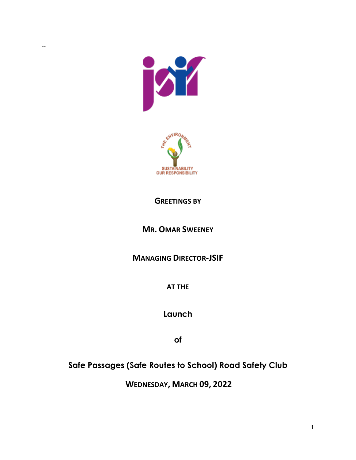

--



#### **GREETINGS BY**

### **MR. OMAR SWEENEY**

### **MANAGING DIRECTOR-JSIF**

**AT THE** 

**Launch**

**of**

## **Safe Passages (Safe Routes to School) Road Safety Club**

**WEDNESDAY, MARCH 09, 2022**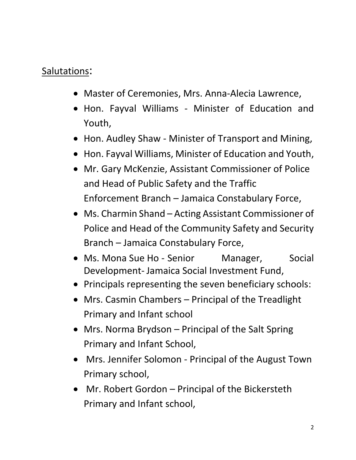# Salutations:

- Master of Ceremonies, Mrs. Anna-Alecia Lawrence,
- Hon. Fayval Williams Minister of Education and Youth,
- Hon. Audley Shaw Minister of Transport and Mining,
- Hon. Fayval Williams, Minister of Education and Youth,
- Mr. Gary McKenzie, Assistant Commissioner of Police and Head of Public Safety and the Traffic Enforcement Branch – Jamaica Constabulary Force,
- Ms. Charmin Shand Acting Assistant Commissioner of Police and Head of the Community Safety and Security Branch – Jamaica Constabulary Force,
- Ms. Mona Sue Ho Senior Manager, Social Development- Jamaica Social Investment Fund,
- Principals representing the seven beneficiary schools:
- Mrs. Casmin Chambers Principal of the Treadlight Primary and Infant school
- Mrs. Norma Brydson Principal of the Salt Spring Primary and Infant School,
- Mrs. Jennifer Solomon Principal of the August Town Primary school,
- Mr. Robert Gordon Principal of the Bickersteth Primary and Infant school,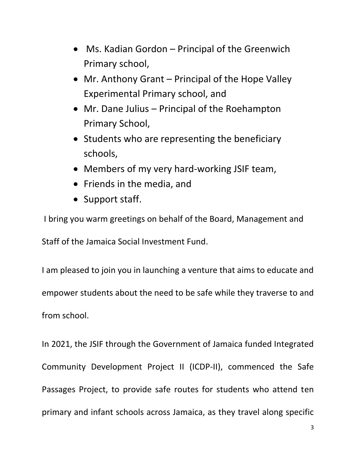- Ms. Kadian Gordon Principal of the Greenwich Primary school,
- Mr. Anthony Grant Principal of the Hope Valley Experimental Primary school, and
- Mr. Dane Julius Principal of the Roehampton Primary School,
- Students who are representing the beneficiary schools,
- Members of my very hard-working JSIF team,
- Friends in the media, and
- Support staff.

I bring you warm greetings on behalf of the Board, Management and

Staff of the Jamaica Social Investment Fund.

I am pleased to join you in launching a venture that aims to educate and empower students about the need to be safe while they traverse to and from school.

In 2021, the JSIF through the Government of Jamaica funded Integrated Community Development Project II (ICDP-II), commenced the Safe Passages Project, to provide safe routes for students who attend ten primary and infant schools across Jamaica, as they travel along specific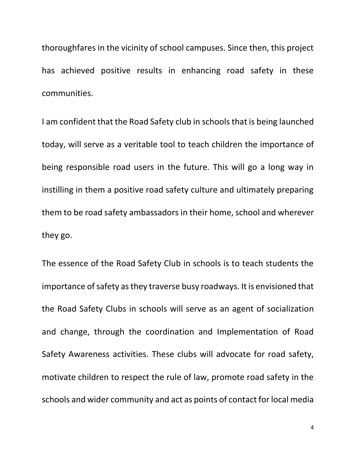thoroughfares in the vicinity of school campuses. Since then, this project has achieved positive results in enhancing road safety in these communities.

I am confident that the Road Safety club in schools that is being launched today, will serve as a veritable tool to teach children the importance of being responsible road users in the future. This will go a long way in instilling in them a positive road safety culture and ultimately preparing them to be road safety ambassadors in their home, school and wherever they go.

The essence of the Road Safety Club in schools is to teach students the importance of safety as they traverse busy roadways. It is envisioned that the Road Safety Clubs in schools will serve as an agent of socialization and change, through the coordination and Implementation of Road Safety Awareness activities. These clubs will advocate for road safety, motivate children to respect the rule of law, promote road safety in the schools and wider community and act as points of contact for local media

4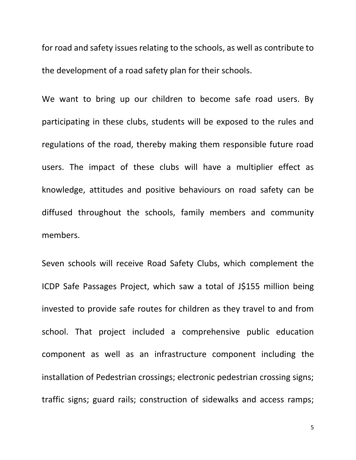for road and safety issues relating to the schools, as well as contribute to the development of a road safety plan for their schools.

We want to bring up our children to become safe road users. By participating in these clubs, students will be exposed to the rules and regulations of the road, thereby making them responsible future road users. The impact of these clubs will have a multiplier effect as knowledge, attitudes and positive behaviours on road safety can be diffused throughout the schools, family members and community members.

Seven schools will receive Road Safety Clubs, which complement the ICDP Safe Passages Project, which saw a total of J\$155 million being invested to provide safe routes for children as they travel to and from school. That project included a comprehensive public education component as well as an infrastructure component including the installation of Pedestrian crossings; electronic pedestrian crossing signs; traffic signs; guard rails; construction of sidewalks and access ramps;

5